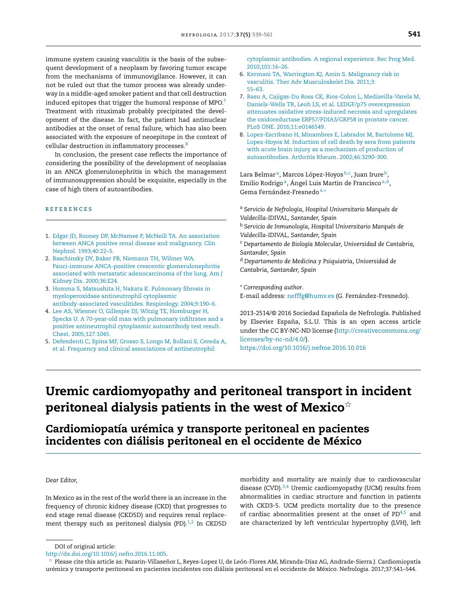immune system causing vasculitis is the basis of the subsequent development of a neoplasm by favoring tumor escape from the mechanisms of immunovigilance. However, it can not be ruled out that the tumor process was already underway in a middle-aged smoker patient and that cell destruction induced epitopes that trigger the humoral response of MPO. $<sup>7</sup>$ </sup> Treatment with rituximab probably precipitated the development of the disease. In fact, the patient had antinuclear antibodies at the onset of renal failure, which has also been associated with the exposure of neoepitope in the context of cellular destruction in inflammatory processes.<sup>8</sup>

In conclusion, the present case reflects the importance of considering the possibility of the development of neoplasias in an ANCA glomerulonephritis in which the management of immunosuppression should be exquisite, especially in the case of high titers of autoantibodies.

### r e f e r enc e s

- 1. [Edgar](http://refhub.elsevier.com/S2013-2514(17)30148-7/sbref0045) [JD,](http://refhub.elsevier.com/S2013-2514(17)30148-7/sbref0045) [Rooney](http://refhub.elsevier.com/S2013-2514(17)30148-7/sbref0045) [DP,](http://refhub.elsevier.com/S2013-2514(17)30148-7/sbref0045) [McNamee](http://refhub.elsevier.com/S2013-2514(17)30148-7/sbref0045) [P,](http://refhub.elsevier.com/S2013-2514(17)30148-7/sbref0045) [McNeill](http://refhub.elsevier.com/S2013-2514(17)30148-7/sbref0045) [TA.](http://refhub.elsevier.com/S2013-2514(17)30148-7/sbref0045) [An](http://refhub.elsevier.com/S2013-2514(17)30148-7/sbref0045) [association](http://refhub.elsevier.com/S2013-2514(17)30148-7/sbref0045) [between](http://refhub.elsevier.com/S2013-2514(17)30148-7/sbref0045) [ANCA](http://refhub.elsevier.com/S2013-2514(17)30148-7/sbref0045) [positive](http://refhub.elsevier.com/S2013-2514(17)30148-7/sbref0045) [renal](http://refhub.elsevier.com/S2013-2514(17)30148-7/sbref0045) [disease](http://refhub.elsevier.com/S2013-2514(17)30148-7/sbref0045) [and](http://refhub.elsevier.com/S2013-2514(17)30148-7/sbref0045) [malignancy.](http://refhub.elsevier.com/S2013-2514(17)30148-7/sbref0045) [Clin](http://refhub.elsevier.com/S2013-2514(17)30148-7/sbref0045) [Nephrol.](http://refhub.elsevier.com/S2013-2514(17)30148-7/sbref0045) [1993;40:22–5.](http://refhub.elsevier.com/S2013-2514(17)30148-7/sbref0045)
- 2. [Baschinsky](http://refhub.elsevier.com/S2013-2514(17)30148-7/sbref0050) [DY,](http://refhub.elsevier.com/S2013-2514(17)30148-7/sbref0050) [Baker](http://refhub.elsevier.com/S2013-2514(17)30148-7/sbref0050) [PB,](http://refhub.elsevier.com/S2013-2514(17)30148-7/sbref0050) [Niemann](http://refhub.elsevier.com/S2013-2514(17)30148-7/sbref0050) [TH,](http://refhub.elsevier.com/S2013-2514(17)30148-7/sbref0050) [Wilmer](http://refhub.elsevier.com/S2013-2514(17)30148-7/sbref0050) [WA.](http://refhub.elsevier.com/S2013-2514(17)30148-7/sbref0050) [Pauci-immune](http://refhub.elsevier.com/S2013-2514(17)30148-7/sbref0050) [ANCA-positive](http://refhub.elsevier.com/S2013-2514(17)30148-7/sbref0050) [crescentic](http://refhub.elsevier.com/S2013-2514(17)30148-7/sbref0050) [glomerulonephritis](http://refhub.elsevier.com/S2013-2514(17)30148-7/sbref0050) [associated](http://refhub.elsevier.com/S2013-2514(17)30148-7/sbref0050) [with](http://refhub.elsevier.com/S2013-2514(17)30148-7/sbref0050) [metastatic](http://refhub.elsevier.com/S2013-2514(17)30148-7/sbref0050) [adenocarcinoma](http://refhub.elsevier.com/S2013-2514(17)30148-7/sbref0050) [of](http://refhub.elsevier.com/S2013-2514(17)30148-7/sbref0050) [the](http://refhub.elsevier.com/S2013-2514(17)30148-7/sbref0050) [lung.](http://refhub.elsevier.com/S2013-2514(17)30148-7/sbref0050) [Am](http://refhub.elsevier.com/S2013-2514(17)30148-7/sbref0050) [J](http://refhub.elsevier.com/S2013-2514(17)30148-7/sbref0050) [Kidney](http://refhub.elsevier.com/S2013-2514(17)30148-7/sbref0050) [Dis.](http://refhub.elsevier.com/S2013-2514(17)30148-7/sbref0050) [2000;36:E24.](http://refhub.elsevier.com/S2013-2514(17)30148-7/sbref0050)
- 3. [Homma](http://refhub.elsevier.com/S2013-2514(17)30148-7/sbref0055) [S,](http://refhub.elsevier.com/S2013-2514(17)30148-7/sbref0055) [Matsushita](http://refhub.elsevier.com/S2013-2514(17)30148-7/sbref0055) [H,](http://refhub.elsevier.com/S2013-2514(17)30148-7/sbref0055) [Nakata](http://refhub.elsevier.com/S2013-2514(17)30148-7/sbref0055) [K.](http://refhub.elsevier.com/S2013-2514(17)30148-7/sbref0055) [Pulmonary](http://refhub.elsevier.com/S2013-2514(17)30148-7/sbref0055) [fibrosis](http://refhub.elsevier.com/S2013-2514(17)30148-7/sbref0055) [in](http://refhub.elsevier.com/S2013-2514(17)30148-7/sbref0055) [myeloperoxidase](http://refhub.elsevier.com/S2013-2514(17)30148-7/sbref0055) [antineutrophil](http://refhub.elsevier.com/S2013-2514(17)30148-7/sbref0055) [cytoplasmic](http://refhub.elsevier.com/S2013-2514(17)30148-7/sbref0055) [antibody-associated](http://refhub.elsevier.com/S2013-2514(17)30148-7/sbref0055) [vasculitides.](http://refhub.elsevier.com/S2013-2514(17)30148-7/sbref0055) [Respirology.](http://refhub.elsevier.com/S2013-2514(17)30148-7/sbref0055) [2004;9:190–6.](http://refhub.elsevier.com/S2013-2514(17)30148-7/sbref0055)
- 4. [Lee](http://refhub.elsevier.com/S2013-2514(17)30148-7/sbref0060) [AS,](http://refhub.elsevier.com/S2013-2514(17)30148-7/sbref0060) [Wiesner](http://refhub.elsevier.com/S2013-2514(17)30148-7/sbref0060) [O,](http://refhub.elsevier.com/S2013-2514(17)30148-7/sbref0060) [Gillespie](http://refhub.elsevier.com/S2013-2514(17)30148-7/sbref0060) [DJ,](http://refhub.elsevier.com/S2013-2514(17)30148-7/sbref0060) [Witzig](http://refhub.elsevier.com/S2013-2514(17)30148-7/sbref0060) [TE,](http://refhub.elsevier.com/S2013-2514(17)30148-7/sbref0060) [Homburger](http://refhub.elsevier.com/S2013-2514(17)30148-7/sbref0060) [H,](http://refhub.elsevier.com/S2013-2514(17)30148-7/sbref0060) [Specks](http://refhub.elsevier.com/S2013-2514(17)30148-7/sbref0060) [U.](http://refhub.elsevier.com/S2013-2514(17)30148-7/sbref0060) [A](http://refhub.elsevier.com/S2013-2514(17)30148-7/sbref0060) [70-year-old](http://refhub.elsevier.com/S2013-2514(17)30148-7/sbref0060) [man](http://refhub.elsevier.com/S2013-2514(17)30148-7/sbref0060) [with](http://refhub.elsevier.com/S2013-2514(17)30148-7/sbref0060) [pulmonary](http://refhub.elsevier.com/S2013-2514(17)30148-7/sbref0060) [infiltrates](http://refhub.elsevier.com/S2013-2514(17)30148-7/sbref0060) [and](http://refhub.elsevier.com/S2013-2514(17)30148-7/sbref0060) [a](http://refhub.elsevier.com/S2013-2514(17)30148-7/sbref0060) [positive](http://refhub.elsevier.com/S2013-2514(17)30148-7/sbref0060) [antineutrophil](http://refhub.elsevier.com/S2013-2514(17)30148-7/sbref0060) [cytoplasmic](http://refhub.elsevier.com/S2013-2514(17)30148-7/sbref0060) [autoantibody](http://refhub.elsevier.com/S2013-2514(17)30148-7/sbref0060) [test](http://refhub.elsevier.com/S2013-2514(17)30148-7/sbref0060) [result.](http://refhub.elsevier.com/S2013-2514(17)30148-7/sbref0060) [Chest.](http://refhub.elsevier.com/S2013-2514(17)30148-7/sbref0060) [2005;127:1045.](http://refhub.elsevier.com/S2013-2514(17)30148-7/sbref0060)
- 5. [Defendenti](http://refhub.elsevier.com/S2013-2514(17)30148-7/sbref0065) [C,](http://refhub.elsevier.com/S2013-2514(17)30148-7/sbref0065) [Spina](http://refhub.elsevier.com/S2013-2514(17)30148-7/sbref0065) [MF,](http://refhub.elsevier.com/S2013-2514(17)30148-7/sbref0065) [Grosso](http://refhub.elsevier.com/S2013-2514(17)30148-7/sbref0065) [S,](http://refhub.elsevier.com/S2013-2514(17)30148-7/sbref0065) [Longo](http://refhub.elsevier.com/S2013-2514(17)30148-7/sbref0065) [M,](http://refhub.elsevier.com/S2013-2514(17)30148-7/sbref0065) [Bollani](http://refhub.elsevier.com/S2013-2514(17)30148-7/sbref0065) [S,](http://refhub.elsevier.com/S2013-2514(17)30148-7/sbref0065) [Cereda](http://refhub.elsevier.com/S2013-2514(17)30148-7/sbref0065) [A,](http://refhub.elsevier.com/S2013-2514(17)30148-7/sbref0065) [et](http://refhub.elsevier.com/S2013-2514(17)30148-7/sbref0065) [al.](http://refhub.elsevier.com/S2013-2514(17)30148-7/sbref0065) [Frequency](http://refhub.elsevier.com/S2013-2514(17)30148-7/sbref0065) [and](http://refhub.elsevier.com/S2013-2514(17)30148-7/sbref0065) [clinical](http://refhub.elsevier.com/S2013-2514(17)30148-7/sbref0065) [associations](http://refhub.elsevier.com/S2013-2514(17)30148-7/sbref0065) [of](http://refhub.elsevier.com/S2013-2514(17)30148-7/sbref0065) [antineutrophil](http://refhub.elsevier.com/S2013-2514(17)30148-7/sbref0065)

[cytoplasmic](http://refhub.elsevier.com/S2013-2514(17)30148-7/sbref0065) [antibodies.](http://refhub.elsevier.com/S2013-2514(17)30148-7/sbref0065) [A](http://refhub.elsevier.com/S2013-2514(17)30148-7/sbref0065) [regional](http://refhub.elsevier.com/S2013-2514(17)30148-7/sbref0065) [experience.](http://refhub.elsevier.com/S2013-2514(17)30148-7/sbref0065) [Rec](http://refhub.elsevier.com/S2013-2514(17)30148-7/sbref0065) [Prog](http://refhub.elsevier.com/S2013-2514(17)30148-7/sbref0065) [Med.](http://refhub.elsevier.com/S2013-2514(17)30148-7/sbref0065) [2010;101:16–26.](http://refhub.elsevier.com/S2013-2514(17)30148-7/sbref0065)

- 6. [Kermani](http://refhub.elsevier.com/S2013-2514(17)30148-7/sbref0070) [TA,](http://refhub.elsevier.com/S2013-2514(17)30148-7/sbref0070) [Warrington](http://refhub.elsevier.com/S2013-2514(17)30148-7/sbref0070) [KJ,](http://refhub.elsevier.com/S2013-2514(17)30148-7/sbref0070) [Amin](http://refhub.elsevier.com/S2013-2514(17)30148-7/sbref0070) [S.](http://refhub.elsevier.com/S2013-2514(17)30148-7/sbref0070) [Malignancy](http://refhub.elsevier.com/S2013-2514(17)30148-7/sbref0070) [risk](http://refhub.elsevier.com/S2013-2514(17)30148-7/sbref0070) [in](http://refhub.elsevier.com/S2013-2514(17)30148-7/sbref0070) [vasculitis.](http://refhub.elsevier.com/S2013-2514(17)30148-7/sbref0070) [Ther](http://refhub.elsevier.com/S2013-2514(17)30148-7/sbref0070) [Adv](http://refhub.elsevier.com/S2013-2514(17)30148-7/sbref0070) [Musculoskelet](http://refhub.elsevier.com/S2013-2514(17)30148-7/sbref0070) [Dis.](http://refhub.elsevier.com/S2013-2514(17)30148-7/sbref0070) [2011;3:](http://refhub.elsevier.com/S2013-2514(17)30148-7/sbref0070) [55–63.](http://refhub.elsevier.com/S2013-2514(17)30148-7/sbref0070)
- 7. [Basu](http://refhub.elsevier.com/S2013-2514(17)30148-7/sbref0075) [A,](http://refhub.elsevier.com/S2013-2514(17)30148-7/sbref0075) [Cajigas-Du](http://refhub.elsevier.com/S2013-2514(17)30148-7/sbref0075) [Ross](http://refhub.elsevier.com/S2013-2514(17)30148-7/sbref0075) [CK,](http://refhub.elsevier.com/S2013-2514(17)30148-7/sbref0075) [Rios-Colon](http://refhub.elsevier.com/S2013-2514(17)30148-7/sbref0075) [L,](http://refhub.elsevier.com/S2013-2514(17)30148-7/sbref0075) [Mediavilla-Varela](http://refhub.elsevier.com/S2013-2514(17)30148-7/sbref0075) [M,](http://refhub.elsevier.com/S2013-2514(17)30148-7/sbref0075) [Daniels-Wells](http://refhub.elsevier.com/S2013-2514(17)30148-7/sbref0075) [TR,](http://refhub.elsevier.com/S2013-2514(17)30148-7/sbref0075) [Leoh](http://refhub.elsevier.com/S2013-2514(17)30148-7/sbref0075) [LS,](http://refhub.elsevier.com/S2013-2514(17)30148-7/sbref0075) [et](http://refhub.elsevier.com/S2013-2514(17)30148-7/sbref0075) [al.](http://refhub.elsevier.com/S2013-2514(17)30148-7/sbref0075) [LEDGF/p75](http://refhub.elsevier.com/S2013-2514(17)30148-7/sbref0075) [overexpression](http://refhub.elsevier.com/S2013-2514(17)30148-7/sbref0075) [attenuates](http://refhub.elsevier.com/S2013-2514(17)30148-7/sbref0075) [oxidative](http://refhub.elsevier.com/S2013-2514(17)30148-7/sbref0075) [stress-induced](http://refhub.elsevier.com/S2013-2514(17)30148-7/sbref0075) [necrosis](http://refhub.elsevier.com/S2013-2514(17)30148-7/sbref0075) [and](http://refhub.elsevier.com/S2013-2514(17)30148-7/sbref0075) [upregulates](http://refhub.elsevier.com/S2013-2514(17)30148-7/sbref0075) [the](http://refhub.elsevier.com/S2013-2514(17)30148-7/sbref0075) [oxidoreductase](http://refhub.elsevier.com/S2013-2514(17)30148-7/sbref0075) [ERP57/PDIA3/GRP58](http://refhub.elsevier.com/S2013-2514(17)30148-7/sbref0075) [in](http://refhub.elsevier.com/S2013-2514(17)30148-7/sbref0075) [prostate](http://refhub.elsevier.com/S2013-2514(17)30148-7/sbref0075) [cancer.](http://refhub.elsevier.com/S2013-2514(17)30148-7/sbref0075) [PLoS](http://refhub.elsevier.com/S2013-2514(17)30148-7/sbref0075) [ONE.](http://refhub.elsevier.com/S2013-2514(17)30148-7/sbref0075) [2016;11:e0146549.](http://refhub.elsevier.com/S2013-2514(17)30148-7/sbref0075)
- 8. [Lopez-Escribano](http://refhub.elsevier.com/S2013-2514(17)30148-7/sbref0080) [H,](http://refhub.elsevier.com/S2013-2514(17)30148-7/sbref0080) [Minambres](http://refhub.elsevier.com/S2013-2514(17)30148-7/sbref0080) [E,](http://refhub.elsevier.com/S2013-2514(17)30148-7/sbref0080) [Labrador](http://refhub.elsevier.com/S2013-2514(17)30148-7/sbref0080) [M,](http://refhub.elsevier.com/S2013-2514(17)30148-7/sbref0080) [Bartolome](http://refhub.elsevier.com/S2013-2514(17)30148-7/sbref0080) [MJ,](http://refhub.elsevier.com/S2013-2514(17)30148-7/sbref0080) [Lopez-Hoyos](http://refhub.elsevier.com/S2013-2514(17)30148-7/sbref0080) [M.](http://refhub.elsevier.com/S2013-2514(17)30148-7/sbref0080) [Induction](http://refhub.elsevier.com/S2013-2514(17)30148-7/sbref0080) [of](http://refhub.elsevier.com/S2013-2514(17)30148-7/sbref0080) [cell](http://refhub.elsevier.com/S2013-2514(17)30148-7/sbref0080) [death](http://refhub.elsevier.com/S2013-2514(17)30148-7/sbref0080) [by](http://refhub.elsevier.com/S2013-2514(17)30148-7/sbref0080) [sera](http://refhub.elsevier.com/S2013-2514(17)30148-7/sbref0080) [from](http://refhub.elsevier.com/S2013-2514(17)30148-7/sbref0080) [patients](http://refhub.elsevier.com/S2013-2514(17)30148-7/sbref0080) [with](http://refhub.elsevier.com/S2013-2514(17)30148-7/sbref0080) [acute](http://refhub.elsevier.com/S2013-2514(17)30148-7/sbref0080) [brain](http://refhub.elsevier.com/S2013-2514(17)30148-7/sbref0080) [injury](http://refhub.elsevier.com/S2013-2514(17)30148-7/sbref0080) [as](http://refhub.elsevier.com/S2013-2514(17)30148-7/sbref0080) [a](http://refhub.elsevier.com/S2013-2514(17)30148-7/sbref0080) [mechanism](http://refhub.elsevier.com/S2013-2514(17)30148-7/sbref0080) [of](http://refhub.elsevier.com/S2013-2514(17)30148-7/sbref0080) [production](http://refhub.elsevier.com/S2013-2514(17)30148-7/sbref0080) [of](http://refhub.elsevier.com/S2013-2514(17)30148-7/sbref0080) [autoantibodies.](http://refhub.elsevier.com/S2013-2514(17)30148-7/sbref0080) [Arthritis](http://refhub.elsevier.com/S2013-2514(17)30148-7/sbref0080) [Rheum.](http://refhub.elsevier.com/S2013-2514(17)30148-7/sbref0080) [2002;46:3290](http://refhub.elsevier.com/S2013-2514(17)30148-7/sbref0080)–[300.](http://refhub.elsevier.com/S2013-2514(17)30148-7/sbref0080)

Lara Belmar<sup>a</sup>, Marcos López-Hoyos <sup>b,c</sup>, Juan Irure <sup>b</sup>, Emilio Rodrigoª, Ángel Luis Martin de Franciscoª,d, Gema Fernández-Fresnedo<sup>a,∗</sup>

<sup>a</sup> *Servicio de Nefrología, Hospital Universitario Marqués de Valdecilla-IDIVAL, Santander, Spain*

<sup>b</sup> *Servicio de Inmunología, Hospital Universitario Marqués de Valdecilla-IDIVAL, Santander, Spain*

<sup>c</sup> *Departamento de Biología Molecular, Universidad de Cantabria, Santander, Spain*

<sup>d</sup> *Departamento de Medicina y Psiquiatría, Universidad de Cantabria, Santander, Spain*

<sup>∗</sup> *Corresponding author*.

E-mail address: [nefffg@humv.es](mailto:nefffg@humv.es) (G. Fernández-Fresnedo).

2013-2514/© 2016 Sociedad Española de Nefrología. Published by Elsevier España, S.L.U. This is an open access article under the CC BY-NC-ND license [\(http://creativecommons.org/](http://creativecommons.org/licenses/by-nc-nd/4.0/) [licenses/by-nc-nd/4.0/\)](http://creativecommons.org/licenses/by-nc-nd/4.0/).

<https://doi.org/10.1016/j.nefroe.2016.10.016>

# Uremic cardiomyopathy and peritoneal transport in incident peritoneal dialysis patients in the west of Mexico $^{\scriptscriptstyle\mathrm{\mathsf{\hat{c}}}}$

## Cardiomiopatía urémica y transporte peritoneal en pacientes incidentes con diálisis peritoneal en el occidente de México

*Dear Editor,*

In Mexico as in the rest of the world there is an increase in the frequency of chronic kidney disease (CKD) that progresses to end stage renal disease (CKD5D) and requires renal replacement therapy such as peritoneal dialysis  $(PD)$ .<sup>[1,2](#page-2-0)</sup> In CKD5D morbidity and mortality are mainly due to cardiovascular disease (CVD). $^{3,4}$  $^{3,4}$  $^{3,4}$  Uremic cardiomyopathy (UCM) results from abnormalities in cardiac structure and function in patients with CKD3-5. UCM predicts mortality due to the presence of cardiac abnormalities present at the onset of  $PD^{4,5}$  $PD^{4,5}$  $PD^{4,5}$  and are characterized by left ventricular hypertrophy (LVH), left

DOI of original article:

<http://dx.doi.org/10.1016/j.nefro.2016.11.005>.

 $^\star$  Please cite this article as: Pazarin-Villaseñor L, Reyes-Lopez U, de León-Flores AM, Miranda-Díaz AG, Andrade-Sierra J. Cardiomiopatía urémica y transporte peritoneal en pacientes incidentes con diálisis peritoneal en el occidente de México. Nefrologia. 2017;37:541–544.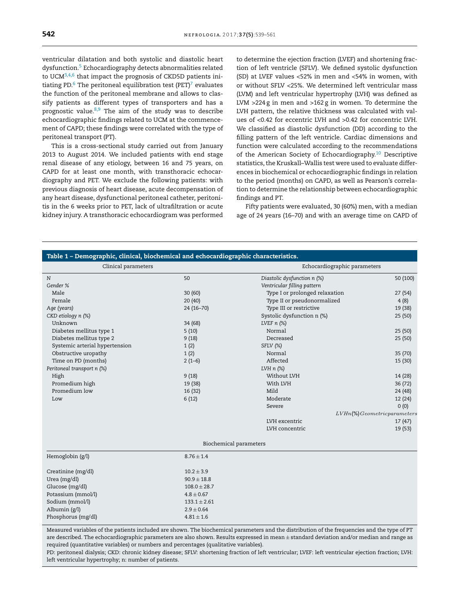<span id="page-1-0"></span>ventricular dilatation and both systolic and diastolic heart dysfunction.[5](#page-3-0) Echocardiography detects abnormalities related to UCM $3,4,6$  that impact the prognosis of CKD5D patients initiating PD. $^6$  $^6$  The peritoneal equilibration test (PET)<sup>[7](#page-3-0)</sup> evaluates the function of the peritoneal membrane and allows to classify patients as different types of transporters and has a prognostic value. $8,9$  The aim of the study was to describe echocardiographic findings related to UCM at the commencement of CAPD; these findings were correlated with the type of peritoneal transport (PT).

This is a cross-sectional study carried out from January 2013 to August 2014. We included patients with end stage renal disease of any etiology, between 16 and 75 years, on CAPD for at least one month, with transthoracic echocardiography and PET. We exclude the following patients: with previous diagnosis of heart disease, acute decompensation of any heart disease, dysfunctional peritoneal catheter, peritonitis in the 6 weeks prior to PET, lack of ultrafiltration or acute kidney injury. A transthoracic echocardiogram was performed

to determine the ejection fraction (LVEF) and shortening fraction of left ventricle (SFLV). We defined systolic dysfunction (SD) at LVEF values <52% in men and <54% in women, with or without SFLV <25%. We determined left ventricular mass (LVM) and left ventricular hypertrophy (LVH) was defined as LVM >224 g in men and >162 g in women. To determine the LVH pattern, the relative thickness was calculated with values of <0.42 for eccentric LVH and >0.42 for concentric LVH. We classified as diastolic dysfunction (DD) according to the filling pattern of the left ventricle. Cardiac dimensions and function were calculated according to the recommendations of the American Society of Echocardiography.[10](#page-3-0) Descriptive statistics, the Kruskall-Wallis test were used to evaluate differences in biochemical or echocardiographic findings in relation to the period (months) on CAPD, as well as Pearson's correlation to determine the relationship between echocardiographic findings and PT.

Fifty patients were evaluated, 30 (60%) men, with a median age of 24 years (16–70) and with an average time on CAPD of

| Table 1 - Demographic, clinical, biochemical and echocardiographic characteristics. |                        |                                |                                 |  |  |  |  |  |  |
|-------------------------------------------------------------------------------------|------------------------|--------------------------------|---------------------------------|--|--|--|--|--|--|
| Clinical parameters                                                                 |                        | Echocardiographic parameters   |                                 |  |  |  |  |  |  |
| N                                                                                   | 50                     | Diastolic dysfunction n (%)    | 50 (100)                        |  |  |  |  |  |  |
| Gender %                                                                            |                        | Ventricular filling pattern    |                                 |  |  |  |  |  |  |
| Male                                                                                | 30(60)                 | Type I or prolonged relaxation | 27(54)                          |  |  |  |  |  |  |
| Female                                                                              | 20(40)                 | Type II or pseudonormalized    | 4(8)                            |  |  |  |  |  |  |
| Age (years)                                                                         | 24 (16-70)             | Type III or restrictive        | 19 (38)                         |  |  |  |  |  |  |
| CKD etiology n (%)                                                                  |                        | Systolic dysfunction n (%)     | 25 (50)                         |  |  |  |  |  |  |
| Unknown                                                                             | 34 (68)                | LVEF $n$ $(\%)$                |                                 |  |  |  |  |  |  |
| Diabetes mellitus type 1                                                            | 5(10)                  | Normal                         | 25(50)                          |  |  |  |  |  |  |
| Diabetes mellitus type 2                                                            | 9(18)                  | Decreased                      | 25(50)                          |  |  |  |  |  |  |
| Systemic arterial hypertension<br>1(2)                                              |                        | SFLV (%)                       |                                 |  |  |  |  |  |  |
| Obstructive uropathy<br>1(2)                                                        |                        | Normal                         | 35 (70)                         |  |  |  |  |  |  |
| Time on PD (months)                                                                 | $2(1-6)$               | Affected                       | 15 (30)                         |  |  |  |  |  |  |
| Peritoneal transport n (%)                                                          |                        | LVH $n$ $(\%)$                 |                                 |  |  |  |  |  |  |
| High                                                                                | 9(18)                  | Without LVH                    | 14 (28)                         |  |  |  |  |  |  |
| Promedium high                                                                      | 19 (38)                | With LVH                       | 36(72)                          |  |  |  |  |  |  |
| Promedium low                                                                       | 16 (32)                | Mild                           | 24 (48)                         |  |  |  |  |  |  |
| Low                                                                                 | 6(12)                  | Moderate                       | 12 (24)                         |  |  |  |  |  |  |
|                                                                                     |                        | Severe                         | 0(0)                            |  |  |  |  |  |  |
|                                                                                     |                        |                                | $LVHn$ (%) Geometric parameters |  |  |  |  |  |  |
|                                                                                     |                        | LVH excentric                  | 17(47)                          |  |  |  |  |  |  |
|                                                                                     |                        | LVH concentric                 | 19 (53)                         |  |  |  |  |  |  |
|                                                                                     | Biochemical parameters |                                |                                 |  |  |  |  |  |  |
| Hemoglobin (g/l)                                                                    | $8.76 \pm 1.4$         |                                |                                 |  |  |  |  |  |  |
| Creatinine (mg/dl)                                                                  | $10.2 \pm 3.9$         |                                |                                 |  |  |  |  |  |  |
| Urea (mg/dl)                                                                        | $90.9 \pm 18.8$        |                                |                                 |  |  |  |  |  |  |
| Glucose (mg/dl)                                                                     | $108.0 \pm 28.7$       |                                |                                 |  |  |  |  |  |  |
| Potassium (mmol/l)                                                                  | $4.8 \pm 0.67$         |                                |                                 |  |  |  |  |  |  |
| Sodium (mmol/l)                                                                     | $133.1 \pm 2.61$       |                                |                                 |  |  |  |  |  |  |
| Albumin (g/l)                                                                       | $2.9 \pm 0.64$         |                                |                                 |  |  |  |  |  |  |
| Phosphorus (mg/dl)                                                                  | $4.81 \pm 1.6$         |                                |                                 |  |  |  |  |  |  |

Measured variables of the patients included are shown. The biochemical parameters and the distribution of the frequencies and the type of PT are described. The echocardiographic parameters are also shown. Results expressed in mean ± standard deviation and/or median and range as required (quantitative variables) or numbers and percentages (qualitative variables).

PD: peritoneal dialysis; CKD: chronic kidney disease; SFLV: shortening fraction of left ventricular; LVEF: left ventricular ejection fraction; LVH: left ventricular hypertrophy; n: number of patients.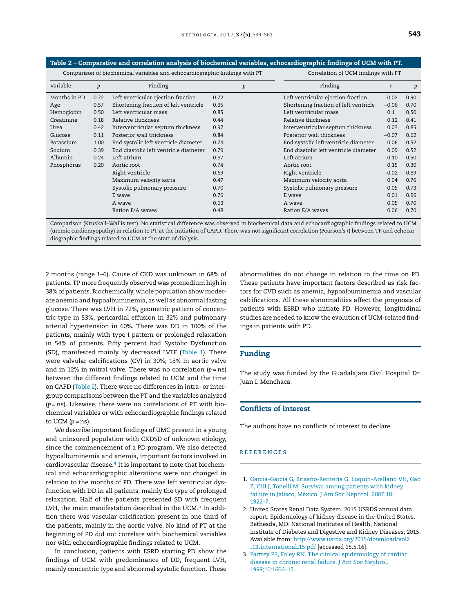<span id="page-2-0"></span>

| Table 2 – Comparative and correlation analysis of biochemical variables, echocardiographic findings of UCM with PT. |                                     |
|---------------------------------------------------------------------------------------------------------------------|-------------------------------------|
| Comparison of biochemical variables and echocardiographic findings with PT                                          | Correlation of HCM findings with PT |

| Variable     | p    | Finding                               |      | p | Finding                               |         | p    |
|--------------|------|---------------------------------------|------|---|---------------------------------------|---------|------|
| Months in PD | 0.72 | Left ventricular ejection fraction    | 0.72 |   | Left ventricular ejection fraction    | 0.02    | 0.90 |
| Age          | 0.57 | Shortening fraction of left ventricle | 0.35 |   | Shortening fraction of left ventricle | $-0.06$ | 0.70 |
| Hemoglobin   | 0.50 | Left ventricular mass                 | 0.85 |   | Left ventricular mass                 | 0.1     | 0.50 |
| Creatinine   | 0.18 | Relative thickness                    | 0.44 |   | Relative thickness                    | 0.12    | 0.41 |
| Urea         | 0.42 | Interventricular septum thickness     | 0.97 |   | Interventricular septum thickness     | 0.03    | 0.85 |
| Glucose      | 0.11 | Posterior wall thickness              | 0.84 |   | Posterior wall thickness              | $-0.07$ | 0.62 |
| Potassium    | 1.00 | End systolic left ventricle diameter  | 0.74 |   | End systolic left ventricle diameter  | 0.06    | 0.52 |
| Sodium       | 0.39 | End diastolic left ventricle diameter | 0.79 |   | End diastolic left ventricle diameter | 0.09    | 0.52 |
| Albumin      | 0.24 | Left atrium                           | 0.87 |   | Left atrium                           | 0.10    | 0.50 |
| Phosphorus   | 0.20 | Aortic root                           | 0.74 |   | Aortic root                           | 0.15    | 0.30 |
|              |      | Right ventricle                       | 0.69 |   | Right ventricle                       | $-0.02$ | 0.89 |
|              |      | Maximum velocity aorta                | 0.47 |   | Maximum velocity aorta                | 0.04    | 0.76 |
|              |      | Systolic pulmonary pressure           | 0.70 |   | Systolic pulmonary pressure           | 0.05    | 0.73 |
|              |      | E wave                                | 0.76 |   | E wave                                | 0.01    | 0.96 |
|              |      | A wave                                | 0.63 |   | A wave                                | 0.05    | 0.70 |
|              |      | Ration E/A waves                      | 0.48 |   | Ration E/A waves                      | 0.06    | 0.70 |

Comparison (Kruskall–Wallis test). No statistical difference was observed in biochemical data and echocardiographic findings related to UCM (uremic cardiomyopathy) in relation to PT at the initiation of CAPD. There was not significant correlation (Pearson's *r*) between TP and echocardiographic findings related to UCM at the start of dialysis.

2 months (range 1–6). Cause of CKD was unknown in 68% of patients. TP more frequently observed was promedium high in 38% of patients. Biochemically, whole population show moderate anemia and hypoalbuminemia, as well as abnormalfasting glucose. There was LVH in 72%, geometric pattern of concentric type in 53%, pericardial effusion in 32% and pulmonary arterial hypertension in 60%. There was DD in 100% of the patients, mainly with type I pattern or prolonged relaxation in 54% of patients. Fifty percent had Systolic Dysfunction (SD), manifested mainly by decreased LVEF ([Table](#page-1-0) 1). There were valvular calcifications (CV) in 30%; 18% in aortic valve and in 12% in mitral valve. There was no correlation  $(p = ns)$ between the different findings related to UCM and the time on CAPD (Table 2). There were no differences in intra- or intergroup comparisons between the PT and the variables analyzed (*p* =ns). Likewise, there were no correlations of PT with biochemical variables or with echocardiographic findings related to UCM  $(p=ns)$ .

We describe important findings of UMC present in a young and uninsured population with CKD5D of unknown etiology, since the commencement of a PD program. We also detected hypoalbuminemia and anemia, important factors involved in cardiovascular disease.<sup>[4](#page-3-0)</sup> It is important to note that biochemical and echocardiographic alterations were not changed in relation to the months of PD. There was left ventricular dysfunction with DD in all patients, mainly the type of prolonged relaxation. Half of the patients presented SD with frequent LVH, the main manifestation described in the UCM. $^{\mathrm{5}}$  $^{\mathrm{5}}$  $^{\mathrm{5}}$  In addition there was vascular calcification present in one third of the patients, mainly in the aortic valve. No kind of PT at the beginning of PD did not correlate with biochemical variables nor with echocardiographic findings related to UCM.

In conclusion, patients with ESRD starting PD show the findings of UCM with predominance of DD, frequent LVH, mainly concentric type and abnormal systolic function. These

abnormalities do not change in relation to the time on PD. These patients have important factors described as risk factors for CVD such as anemia, hypoalbuminemia and vascular calcifications. All these abnormalities affect the prognosis of patients with ESRD who initiate PD. However, longitudinal studies are needed to know the evolution of UCM-related findings in patients with PD.

#### Funding

The study was funded by the Guadalajara Civil Hospital Dr. Juan I. Menchaca.

### Conflicts of interest

The authors have no conflicts of interest to declare.

#### **REFERENCES**

- 1. [Garcia-Garcia](http://refhub.elsevier.com/S2013-2514(17)30148-7/sbref0055) [G,](http://refhub.elsevier.com/S2013-2514(17)30148-7/sbref0055) [Briseno-Rentería](http://refhub.elsevier.com/S2013-2514(17)30148-7/sbref0055) [˜](http://refhub.elsevier.com/S2013-2514(17)30148-7/sbref0055) [G,](http://refhub.elsevier.com/S2013-2514(17)30148-7/sbref0055) [Luquín-Arellano](http://refhub.elsevier.com/S2013-2514(17)30148-7/sbref0055) [VH,](http://refhub.elsevier.com/S2013-2514(17)30148-7/sbref0055) [Gao](http://refhub.elsevier.com/S2013-2514(17)30148-7/sbref0055) [Z,](http://refhub.elsevier.com/S2013-2514(17)30148-7/sbref0055) [Gill](http://refhub.elsevier.com/S2013-2514(17)30148-7/sbref0055) [J,](http://refhub.elsevier.com/S2013-2514(17)30148-7/sbref0055) [Tonelli](http://refhub.elsevier.com/S2013-2514(17)30148-7/sbref0055) [M.](http://refhub.elsevier.com/S2013-2514(17)30148-7/sbref0055) [Survival](http://refhub.elsevier.com/S2013-2514(17)30148-7/sbref0055) [among](http://refhub.elsevier.com/S2013-2514(17)30148-7/sbref0055) [patients](http://refhub.elsevier.com/S2013-2514(17)30148-7/sbref0055) [with](http://refhub.elsevier.com/S2013-2514(17)30148-7/sbref0055) [kidney](http://refhub.elsevier.com/S2013-2514(17)30148-7/sbref0055) [failure](http://refhub.elsevier.com/S2013-2514(17)30148-7/sbref0055) [in](http://refhub.elsevier.com/S2013-2514(17)30148-7/sbref0055) [Jalisco,](http://refhub.elsevier.com/S2013-2514(17)30148-7/sbref0055) [México.](http://refhub.elsevier.com/S2013-2514(17)30148-7/sbref0055) [J](http://refhub.elsevier.com/S2013-2514(17)30148-7/sbref0055) [Am](http://refhub.elsevier.com/S2013-2514(17)30148-7/sbref0055) [Soc](http://refhub.elsevier.com/S2013-2514(17)30148-7/sbref0055) [Nephrol.](http://refhub.elsevier.com/S2013-2514(17)30148-7/sbref0055) [2007;18:](http://refhub.elsevier.com/S2013-2514(17)30148-7/sbref0055) [1922–7.](http://refhub.elsevier.com/S2013-2514(17)30148-7/sbref0055)
- 2. United States Renal Data System. 2015 USRDS annual data report: Epidemiology of kidney disease in the United States. Bethesda, MD: National Institutes of Health, National Institute of Diabetes and Digestive and Kidney Diseases; 2015. Available from: [http://www.usrds.org/2015/download/vol2](http://www.usrds.org/2015/download/vol2_13_international_15.pdf) 13 [international](http://www.usrds.org/2015/download/vol2_13_international_15.pdf) 15.pdf [accessed 15.5.16].
- 3. [Parfrey](http://refhub.elsevier.com/S2013-2514(17)30148-7/sbref0065) [PS,](http://refhub.elsevier.com/S2013-2514(17)30148-7/sbref0065) [Foley](http://refhub.elsevier.com/S2013-2514(17)30148-7/sbref0065) [RN.](http://refhub.elsevier.com/S2013-2514(17)30148-7/sbref0065) [The](http://refhub.elsevier.com/S2013-2514(17)30148-7/sbref0065) [clinical](http://refhub.elsevier.com/S2013-2514(17)30148-7/sbref0065) [epidemiology](http://refhub.elsevier.com/S2013-2514(17)30148-7/sbref0065) [of](http://refhub.elsevier.com/S2013-2514(17)30148-7/sbref0065) [cardiac](http://refhub.elsevier.com/S2013-2514(17)30148-7/sbref0065) [disease](http://refhub.elsevier.com/S2013-2514(17)30148-7/sbref0065) [in](http://refhub.elsevier.com/S2013-2514(17)30148-7/sbref0065) [chronic](http://refhub.elsevier.com/S2013-2514(17)30148-7/sbref0065) [renal](http://refhub.elsevier.com/S2013-2514(17)30148-7/sbref0065) [failure.](http://refhub.elsevier.com/S2013-2514(17)30148-7/sbref0065) [J](http://refhub.elsevier.com/S2013-2514(17)30148-7/sbref0065) [Am](http://refhub.elsevier.com/S2013-2514(17)30148-7/sbref0065) [Soc](http://refhub.elsevier.com/S2013-2514(17)30148-7/sbref0065) [Nephrol.](http://refhub.elsevier.com/S2013-2514(17)30148-7/sbref0065) [1999;10:1606–15.](http://refhub.elsevier.com/S2013-2514(17)30148-7/sbref0065)